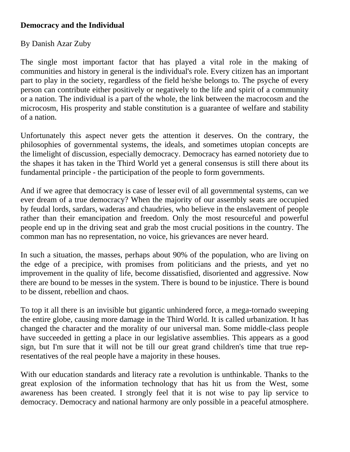## **Democracy and the Individual**

## By Danish Azar Zuby

The single most important factor that has played a vital role in the making of communities and history in general is the individual's role. Every citizen has an important part to play in the society, regardless of the field he/she belongs to. The psyche of every person can contribute either positively or negatively to the life and spirit of a community or a nation. The individual is a part of the whole, the link between the macrocosm and the microcosm, His prosperity and stable constitution is a guarantee of welfare and stability of a nation.

Unfortunately this aspect never gets the attention it deserves. On the contrary, the philosophies of governmental systems, the ideals, and sometimes utopian concepts are the limelight of discussion, especially democracy. Democracy has earned notoriety due to the shapes it has taken in the Third World yet a general consensus is still there about its fundamental principle - the participation of the people to form governments.

And if we agree that democracy is case of lesser evil of all governmental systems, can we ever dream of a true democracy? When the majority of our assembly seats are occupied by feudal lords, sardars, waderas and chaudries, who believe in the enslavement of people rather than their emancipation and freedom. Only the most resourceful and powerful people end up in the driving seat and grab the most crucial positions in the country. The common man has no representation, no voice, his grievances are never heard.

In such a situation, the masses, perhaps about 90% of the population, who are living on the edge of a precipice, with promises from politicians and the priests, and yet no improvement in the quality of life, become dissatisfied, disoriented and aggressive. Now there are bound to be messes in the system. There is bound to be injustice. There is bound to be dissent, rebellion and chaos.

To top it all there is an invisible but gigantic unhindered force, a mega-tornado sweeping the entire globe, causing more damage in the Third World. It is called urbanization. It has changed the character and the morality of our universal man. Some middle-class people have succeeded in getting a place in our legislative assemblies. This appears as a good sign, but I'm sure that it will not be till our great grand children's time that true representatives of the real people have a majority in these houses.

With our education standards and literacy rate a revolution is unthinkable. Thanks to the great explosion of the information technology that has hit us from the West, some awareness has been created. I strongly feel that it is not wise to pay lip service to democracy. Democracy and national harmony are only possible in a peaceful atmosphere.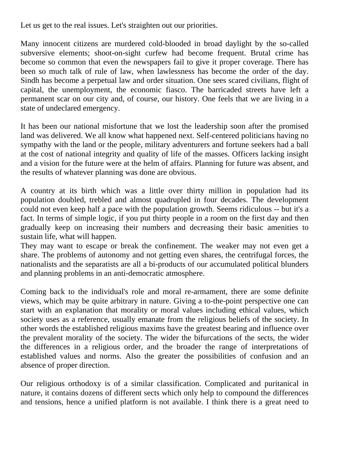Let us get to the real issues. Let's straighten out our priorities.

Many innocent citizens are murdered cold-blooded in broad daylight by the so-called subversive elements; shoot-on-sight curfew had become frequent. Brutal crime has become so common that even the newspapers fail to give it proper coverage. There has been so much talk of rule of law, when lawlessness has become the order of the day. Sindh has become a perpetual law and order situation. One sees scared civilians, flight of capital, the unemployment, the economic fiasco. The barricaded streets have left a permanent scar on our city and, of course, our history. One feels that we are living in a state of undeclared emergency.

It has been our national misfortune that we lost the leadership soon after the promised land was delivered. We all know what happened next. Self-centered politicians having no sympathy with the land or the people, military adventurers and fortune seekers had a ball at the cost of national integrity and quality of life of the masses. Officers lacking insight and a vision for the future were at the helm of affairs. Planning for future was absent, and the results of whatever planning was done are obvious.

A country at its birth which was a little over thirty million in population had its population doubled, trebled and almost quadrupled in four decades. The development could not even keep half a pace with the population growth. Seems ridiculous -- but it's a fact. In terms of simple logic, if you put thirty people in a room on the first day and then gradually keep on increasing their numbers and decreasing their basic amenities to sustain life, what will happen.

They may want to escape or break the confinement. The weaker may not even get a share. The problems of autonomy and not getting even shares, the centrifugal forces, the nationalists and the separatists are all a bi-products of our accumulated political blunders and planning problems in an anti-democratic atmosphere.

Coming back to the individual's role and moral re-armament, there are some definite views, which may be quite arbitrary in nature. Giving a to-the-point perspective one can start with an explanation that morality or moral values including ethical values, which society uses as a reference, usually emanate from the religious beliefs of the society. In other words the established religious maxims have the greatest bearing and influence over the prevalent morality of the society. The wider the bifurcations of the sects, the wider the differences in a religious order, and the broader the range of interpretations of established values and norms. Also the greater the possibilities of confusion and an absence of proper direction.

Our religious orthodoxy is of a similar classification. Complicated and puritanical in nature, it contains dozens of different sects which only help to compound the differences and tensions, hence a unified platform is not available. I think there is a great need to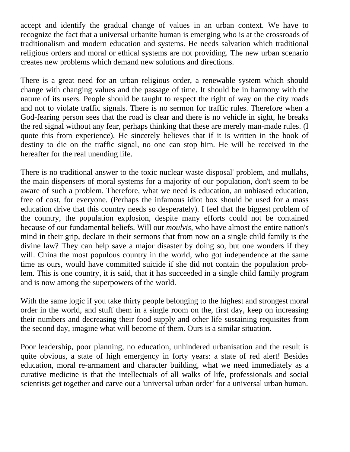accept and identify the gradual change of values in an urban context. We have to recognize the fact that a universal urbanite human is emerging who is at the crossroads of traditionalism and modern education and systems. He needs salvation which traditional religious orders and moral or ethical systems are not providing. The new urban scenario creates new problems which demand new solutions and directions.

There is a great need for an urban religious order, a renewable system which should change with changing values and the passage of time. It should be in harmony with the nature of its users. People should be taught to respect the right of way on the city roads and not to violate traffic signals. There is no sermon for traffic rules. Therefore when a God-fearing person sees that the road is clear and there is no vehicle in sight, he breaks the red signal without any fear, perhaps thinking that these are merely man-made rules. (I quote this from experience). He sincerely believes that if it is written in the book of destiny to die on the traffic signal, no one can stop him. He will be received in the hereafter for the real unending life.

There is no traditional answer to the toxic nuclear waste disposal' problem, and mullahs, the main dispensers of moral systems for a majority of our population, don't seem to be aware of such a problem. Therefore, what we need is education, an unbiased education, free of cost, for everyone. (Perhaps the infamous idiot box should be used for a mass education drive that this country needs so desperately). I feel that the biggest problem of the country, the population explosion, despite many efforts could not be contained because of our fundamental beliefs. Will our *moulvis,* who have almost the entire nation's mind in their grip, declare in their sermons that from now on a single child family is the divine law? They can help save a major disaster by doing so, but one wonders if they will. China the most populous country in the world, who got independence at the same time as ours, would have committed suicide if she did not contain the population problem. This is one country, it is said, that it has succeeded in a single child family program and is now among the superpowers of the world.

With the same logic if you take thirty people belonging to the highest and strongest moral order in the world, and stuff them in a single room on the, first day, keep on increasing their numbers and decreasing their food supply and other life sustaining requisites from the second day, imagine what will become of them. Ours is a similar situation.

Poor leadership, poor planning, no education, unhindered urbanisation and the result is quite obvious, a state of high emergency in forty years: a state of red alert! Besides education, moral re-armament and character building, what we need immediately as a curative medicine is that the intellectuals of all walks of life, professionals and social scientists get together and carve out a 'universal urban order' for a universal urban human.